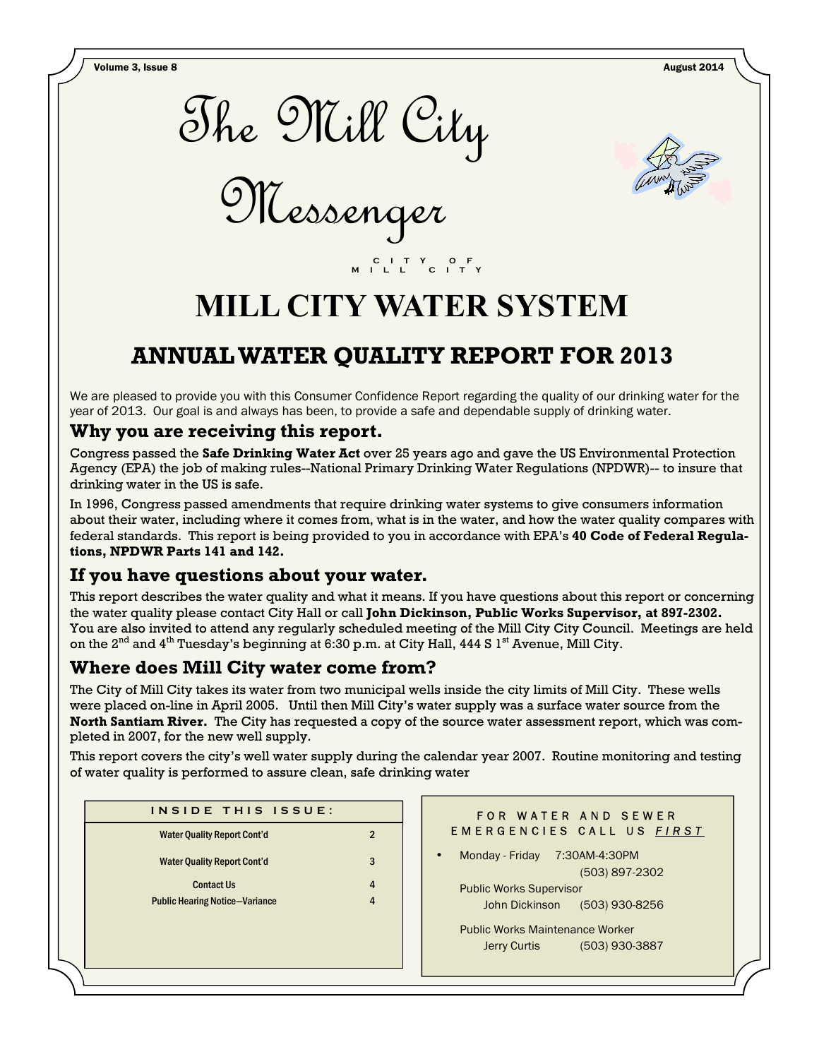Volume 3, Issue 8 August 2014



Messenger



# **MILL CITY WATER SYSTEM**

 **C I T Y O F M I L L C I T Y** 

## **ANNUAL WATER QUALITY REPORT FOR 2013**

We are pleased to provide you with this Consumer Confidence Report regarding the quality of our drinking water for the year of 2013. Our goal is and always has been, to provide a safe and dependable supply of drinking water.

### **Why you are receiving this report.**

Congress passed the **Safe Drinking Water Act** over 25 years ago and gave the US Environmental Protection Agency (EPA) the job of making rules--National Primary Drinking Water Regulations (NPDWR)-- to insure that drinking water in the US is safe.

In 1996, Congress passed amendments that require drinking water systems to give consumers information about their water, including where it comes from, what is in the water, and how the water quality compares with federal standards. This report is being provided to you in accordance with EPA's **40 Code of Federal Regulations, NPDWR Parts 141 and 142.**

## **If you have questions about your water.**

This report describes the water quality and what it means. If you have questions about this report or concerning the water quality please contact City Hall or call **John Dickinson, Public Works Supervisor, at 897-2302.**  You are also invited to attend any regularly scheduled meeting of the Mill City City Council. Meetings are held on the 2<sup>nd</sup> and 4<sup>th</sup> Tuesday's beginning at 6:30 p.m. at City Hall, 444 S 1<sup>st</sup> Avenue, Mill City.

## **Where does Mill City water come from?**

The City of Mill City takes its water from two municipal wells inside the city limits of Mill City. These wells were placed on-line in April 2005. Until then Mill City's water supply was a surface water source from the **North Santiam River.** The City has requested a copy of the source water assessment report, which was completed in 2007, for the new well supply.

This report covers the city's well water supply during the calendar year 2007. Routine monitoring and testing of water quality is performed to assure clean, safe drinking water

| <b>Water Quality Report Cont'd</b><br><b>Water Quality Report Cont'd</b> | 2<br>3 |
|--------------------------------------------------------------------------|--------|
|                                                                          |        |
|                                                                          |        |
| <b>Contact Us</b>                                                        | 4      |
| <b>Public Hearing Notice-Variance</b>                                    | 4      |

#### FOR WATER AND SEWER E M E R G E N C I E S C A L L U S F I R S T

• Monday - Friday 7:30AM-4:30PM (503) 897-2302 Public Works Supervisor John Dickinson (503) 930-8256

 Public Works Maintenance Worker Jerry Curtis (503) 930-3887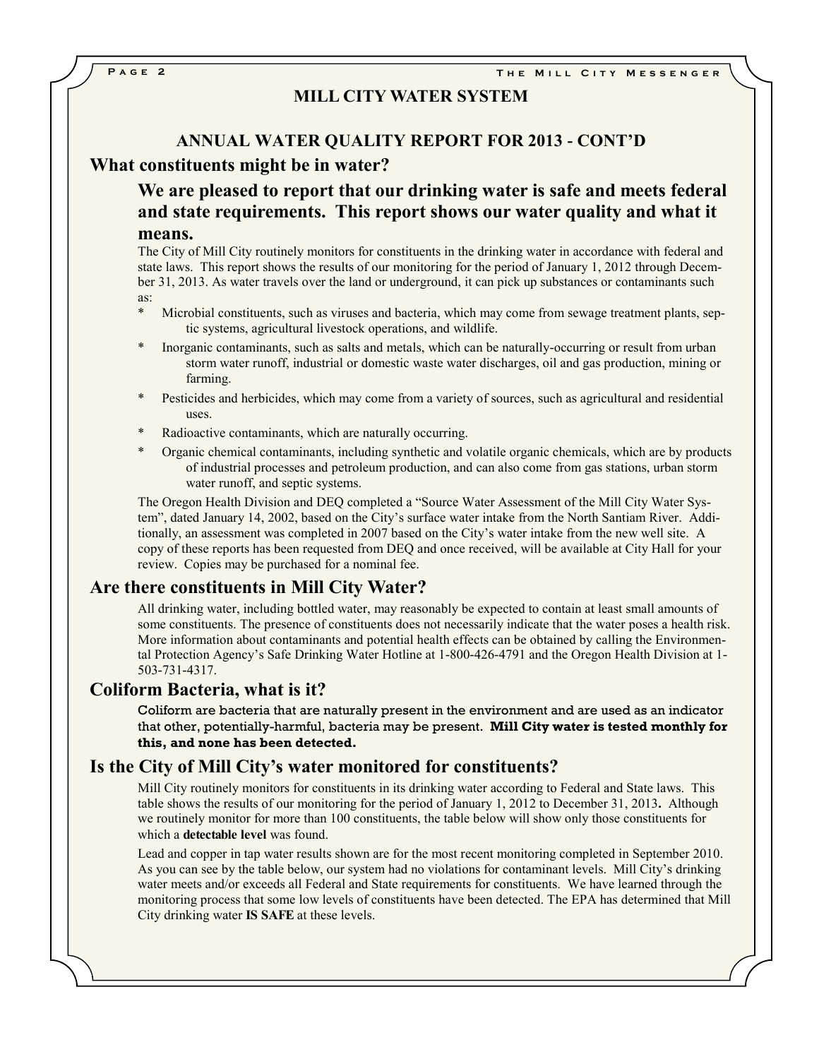#### **MILL CITY WATER SYSTEM**

#### **ANNUAL WATER QUALITY REPORT FOR 2013 - CONT'D**

#### **What constituents might be in water?**

**We are pleased to report that our drinking water is safe and meets federal and state requirements. This report shows our water quality and what it means.**

#### The City of Mill City routinely monitors for constituents in the drinking water in accordance with federal and state laws. This report shows the results of our monitoring for the period of January 1, 2012 through December 31, 2013. As water travels over the land or underground, it can pick up substances or contaminants such as:

- Microbial constituents, such as viruses and bacteria, which may come from sewage treatment plants, septic systems, agricultural livestock operations, and wildlife.
- Inorganic contaminants, such as salts and metals, which can be naturally-occurring or result from urban storm water runoff, industrial or domestic waste water discharges, oil and gas production, mining or farming.
- Pesticides and herbicides, which may come from a variety of sources, such as agricultural and residential uses.
- Radioactive contaminants, which are naturally occurring.
- \* Organic chemical contaminants, including synthetic and volatile organic chemicals, which are by products of industrial processes and petroleum production, and can also come from gas stations, urban storm water runoff, and septic systems.

The Oregon Health Division and DEQ completed a "Source Water Assessment of the Mill City Water System", dated January 14, 2002, based on the City's surface water intake from the North Santiam River. Additionally, an assessment was completed in 2007 based on the City's water intake from the new well site. A copy of these reports has been requested from DEQ and once received, will be available at City Hall for your review. Copies may be purchased for a nominal fee.

#### **Are there constituents in Mill City Water?**

All drinking water, including bottled water, may reasonably be expected to contain at least small amounts of some constituents. The presence of constituents does not necessarily indicate that the water poses a health risk. More information about contaminants and potential health effects can be obtained by calling the Environmental Protection Agency's Safe Drinking Water Hotline at 1-800-426-4791 and the Oregon Health Division at 1- 503-731-4317.

#### **Coliform Bacteria, what is it?**

Coliform are bacteria that are naturally present in the environment and are used as an indicator that other, potentially-harmful, bacteria may be present. **Mill City water is tested monthly for this, and none has been detected.**

#### **Is the City of Mill City's water monitored for constituents?**

Mill City routinely monitors for constituents in its drinking water according to Federal and State laws. This table shows the results of our monitoring for the period of January 1, 2012 to December 31, 2013**.** Although we routinely monitor for more than 100 constituents, the table below will show only those constituents for which a **detectable level** was found.

Lead and copper in tap water results shown are for the most recent monitoring completed in September 2010. As you can see by the table below, our system had no violations for contaminant levels. Mill City's drinking water meets and/or exceeds all Federal and State requirements for constituents. We have learned through the monitoring process that some low levels of constituents have been detected. The EPA has determined that Mill City drinking water **IS SAFE** at these levels.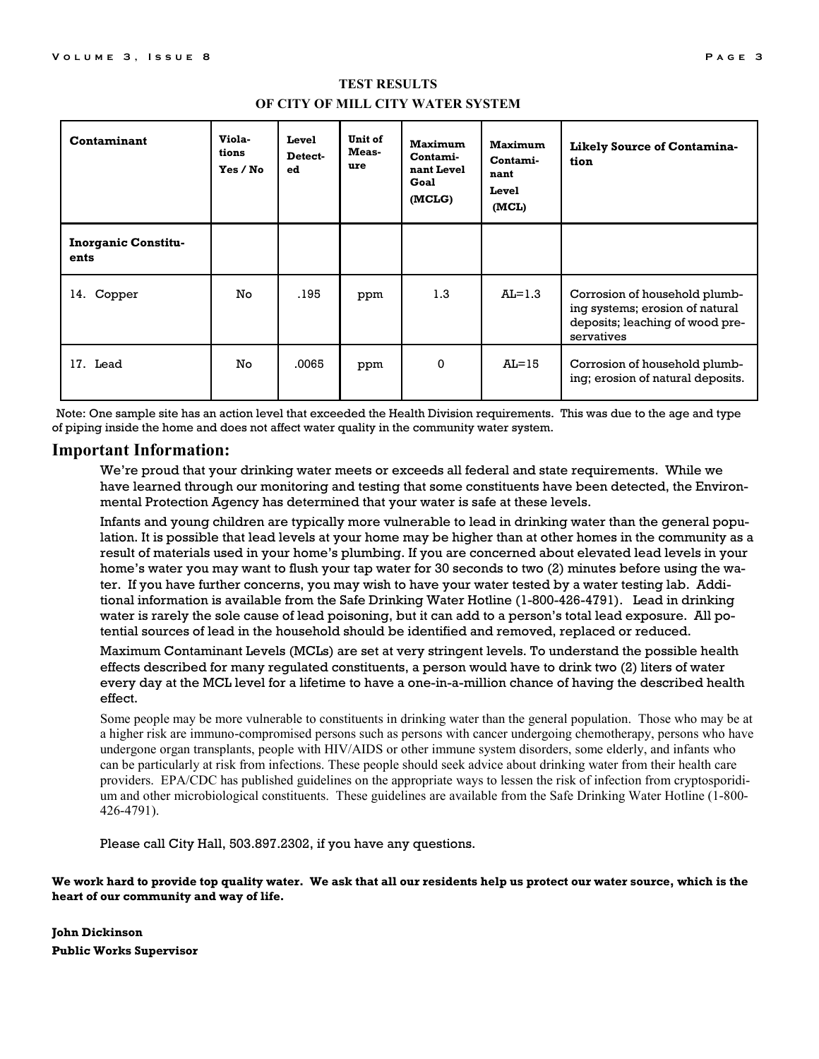| Contaminant                        | Viola-<br>tions<br>Yes / No | Level<br>Detect-<br>ed | Unit of<br>Meas-<br>ure | <b>Maximum</b><br>Contami-<br>nant Level<br>Goal<br>(MCLG) | <b>Maximum</b><br>Contami-<br>nant<br>Level<br>(MCL) | Likely Source of Contamina-<br>tion                                                                               |
|------------------------------------|-----------------------------|------------------------|-------------------------|------------------------------------------------------------|------------------------------------------------------|-------------------------------------------------------------------------------------------------------------------|
| <b>Inorganic Constitu-</b><br>ents |                             |                        |                         |                                                            |                                                      |                                                                                                                   |
| 14. Copper                         | No.                         | .195                   | ppm                     | 1.3                                                        | $AL=1.3$                                             | Corrosion of household plumb-<br>ing systems; erosion of natural<br>deposits; leaching of wood pre-<br>servatives |
| 17. Lead                           | No.                         | .0065                  | ppm                     | 0                                                          | $AL=15$                                              | Corrosion of household plumb-<br>ing; erosion of natural deposits.                                                |

#### **TEST RESULTS OF CITY OF MILL CITY WATER SYSTEM**

Note: One sample site has an action level that exceeded the Health Division requirements. This was due to the age and type of piping inside the home and does not affect water quality in the community water system.

#### **Important Information:**

We're proud that your drinking water meets or exceeds all federal and state requirements. While we have learned through our monitoring and testing that some constituents have been detected, the Environmental Protection Agency has determined that your water is safe at these levels.

Infants and young children are typically more vulnerable to lead in drinking water than the general population. It is possible that lead levels at your home may be higher than at other homes in the community as a result of materials used in your home's plumbing. If you are concerned about elevated lead levels in your home's water you may want to flush your tap water for 30 seconds to two (2) minutes before using the water. If you have further concerns, you may wish to have your water tested by a water testing lab. Additional information is available from the Safe Drinking Water Hotline (1-800-426-4791). Lead in drinking water is rarely the sole cause of lead poisoning, but it can add to a person's total lead exposure. All potential sources of lead in the household should be identified and removed, replaced or reduced.

Maximum Contaminant Levels (MCLs) are set at very stringent levels. To understand the possible health effects described for many regulated constituents, a person would have to drink two (2) liters of water every day at the MCL level for a lifetime to have a one-in-a-million chance of having the described health effect.

Some people may be more vulnerable to constituents in drinking water than the general population. Those who may be at a higher risk are immuno-compromised persons such as persons with cancer undergoing chemotherapy, persons who have undergone organ transplants, people with HIV/AIDS or other immune system disorders, some elderly, and infants who can be particularly at risk from infections. These people should seek advice about drinking water from their health care providers. EPA/CDC has published guidelines on the appropriate ways to lessen the risk of infection from cryptosporidium and other microbiological constituents. These guidelines are available from the Safe Drinking Water Hotline (1-800- 426-4791).

Please call City Hall, 503.897.2302, if you have any questions.

#### **We work hard to provide top quality water. We ask that all our residents help us protect our water source, which is the heart of our community and way of life.**

**John Dickinson Public Works Supervisor**